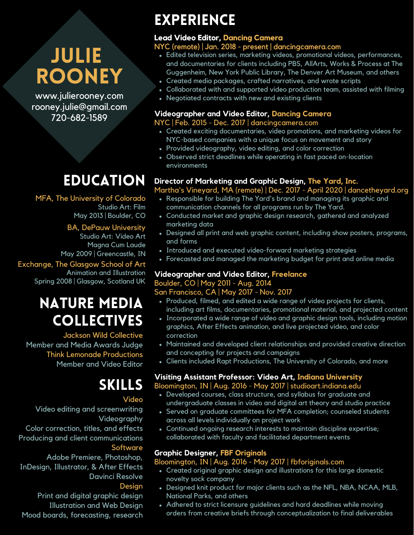# Julie **ROONEY**

www.julierooney.com rooney.julie@gmail.com 720-682-1589

# **EDUCATION**

Studio Art: Film May 2013 | Boulder, CO MFA, The University of Colorado

#### BA, DePauw University

Studio Art: Video Art Magna Cum Laude May 2009 | Greencastle, IN

Animation and Illustration Spring 2008 | Glasgow, Scotland UK Exchange, The Glasgow School of Art

## Nature Media **COLLECTIVES**

Jackson Wild Collective Member and Media Awards Judge Think Lemonade Productions Member and Video Editor

## Skills

#### Video

Video editing and screenwriting Videography Color correction, titles, and effects Producing and client communications **Software** 

Adobe Premiere, Photoshop, InDesign, Illustrator, & After Effects Davinci Resolve

#### Design

Print and digital graphic design Illustration and Web Design Mood boards, forecasting, research

## **EXPERIENCE**

### **Lead Video Editor, Dancing Camera**

## NYC (remote) | Jan. 2018 - present | dancingcamera.com

- Edited television series, marketing videos, promotional videos, performances, and documentaries for clients including PBS, AllArts, Works & Process at The Guggenheim, New York Public Library, The Denver Art Museum, and others
- Created media packages, crafted narratives, and wrote scripts
- Collaborated with and supported video production team, assisted with filming
- Negotiated contracts with new and existing clients

### **Videographer and Video Editor, Dancing Camera**

#### NYC | Feb. 2015 - Dec. 2017 | dancingcamera.com

- Created exciting documentaries, video promotions, and marketing videos for NYC-based companies with a unique focus on movement and story
- Provided videography, video editing, and color correction
- Observed strict deadlines while operating in fast paced on-location environments

## **Director of Marketing and Graphic Design, The Yard, Inc.**

Martha's Vineyard, MA (remote) | Dec. 2017 - April 2020 | dancetheyard.org

- Responsible for building The Yard's brand and managing its graphic and communication channels for all programs run by The Yard.
- Conducted market and graphic design research, gathered and analyzed marketing data
- Designed all print and web graphic content, including show posters, programs, and forms
- Introduced and executed video-forward marketing strategies
- Forecasted and managed the marketing budget for print and online media

## **Videographer and Video Editor, Freelance**

### Boulder, CO | May 2011 - Aug. 2014

## San Francisco, CA | May 2017 - Nov. 2017

- Produced, filmed, and edited a wide range of video projects for clients, including art films, documentaries, promotional material, and projected content
- Incorporated a wide range of video and graphic design tools, including motion graphics, After Effects animation, and live projected video, and color correction
- Maintained and developed client relationships and provided creative direction and concepting for projects and campaigns
- Clients included Rapt Productions, The University of Colorado, and more

## **Visiting Assistant Professor: Video Art, Indiana University**

## Bloomington, IN | Aug. 2016 - May 2017 | studioart.indiana.edu

- Developed courses, class structure, and syllabus for graduate and undergraduate classes in video and digital art theory and studio practice
- Served on graduate committees for MFA completion; counseled students across all levels individually on project work
- Continued ongoing research interests to maintain discipline expertise; collaborated with faculty and facilitated department events

## **Graphic Designer, FBF Originals**

## Bloomington, IN | Aug. 2016 - May 2017 | fbforiginals.com

- Created original graphic design and illustrations for this large domestic novelty sock company
- Designed knit product for major clients such as the NFL, NBA, NCAA, MLB, National Parks, and others
- Adhered to strict licensure guidelines and hard deadlines while moving orders from creative briefs through conceptualization to final deliverables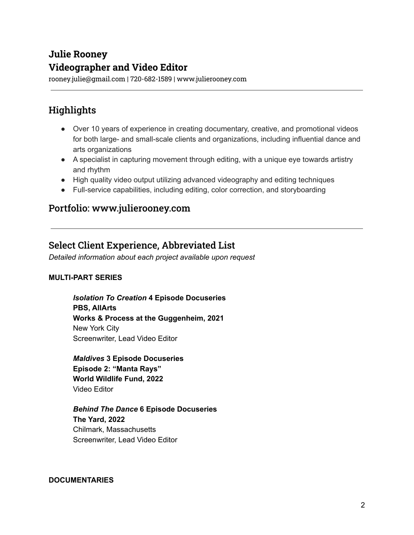## **Julie Rooney Videographer and Video Editor**

rooney.julie@gmail.com | 720-682-1589 | www.julierooney.com

## **Highlights**

- Over 10 years of experience in creating documentary, creative, and promotional videos for both large- and small-scale clients and organizations, including influential dance and arts organizations
- A specialist in capturing movement through editing, with a unique eye towards artistry and rhythm
- High quality video output utilizing advanced videography and editing techniques
- Full-service capabilities, including editing, color correction, and storyboarding

## Portfolio: www.julierooney.com

## Select Client Experience, Abbreviated List

*Detailed information about each project available upon request*

#### **MULTI-PART SERIES**

*Isolation To Creation* **4 Episode Docuseries PBS, AllArts Works & Process at the Guggenheim, 2021** New York City Screenwriter, Lead Video Editor

*Maldives* **3 Episode Docuseries Episode 2: "Manta Rays" World Wildlife Fund, 2022** Video Editor

*Behind The Dance* **6 Episode Docuseries The Yard, 2022** Chilmark, Massachusetts Screenwriter, Lead Video Editor

#### **DOCUMENTARIES**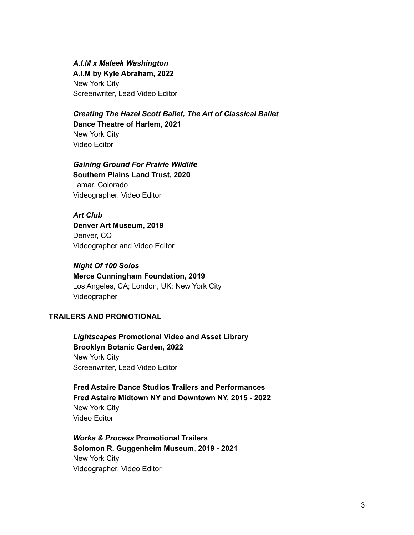*A.I.M x Maleek Washington*

**A.I.M by Kyle Abraham, 2022** New York City Screenwriter, Lead Video Editor

#### *Creating The Hazel Scott Ballet, The Art of Classical Ballet* **Dance Theatre of Harlem, 2021**

New York City Video Editor

#### *Gaining Ground For Prairie Wildlife*

**Southern Plains Land Trust, 2020** Lamar, Colorado Videographer, Video Editor

*Art Club* **Denver Art Museum, 2019** Denver, CO Videographer and Video Editor

*Night Of 100 Solos* **Merce Cunningham Foundation, 2019** Los Angeles, CA; London, UK; New York City Videographer

#### **TRAILERS AND PROMOTIONAL**

*Lightscapes* **Promotional Video and Asset Library Brooklyn Botanic Garden, 2022** New York City Screenwriter, Lead Video Editor

**Fred Astaire Dance Studios Trailers and Performances Fred Astaire Midtown NY and Downtown NY, 2015 - 2022** New York City Video Editor

*Works & Process* **Promotional Trailers Solomon R. Guggenheim Museum, 2019 - 2021** New York City Videographer, Video Editor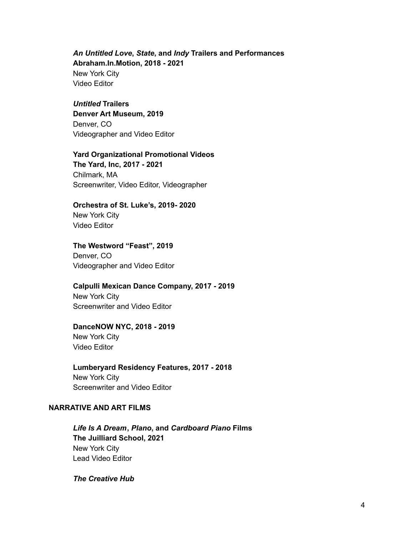#### *An Untitled Love***,** *State***, and** *Indy* **Trailers and Performances Abraham.In.Motion, 2018 - 2021** New York City Video Editor

#### *Untitled* **Trailers**

**Denver Art Museum, 2019** Denver, CO Videographer and Video Editor

#### **Yard Organizational Promotional Videos**

**The Yard, Inc, 2017 - 2021** Chilmark, MA Screenwriter, Video Editor, Videographer

#### **Orchestra of St. Luke's, 2019- 2020**

New York City Video Editor

#### **The Westword "Feast", 2019**

Denver, CO Videographer and Video Editor

#### **Calpulli Mexican Dance Company, 2017 - 2019**

New York City Screenwriter and Video Editor

#### **DanceNOW NYC, 2018 - 2019**

New York City Video Editor

#### **Lumberyard Residency Features, 2017 - 2018** New York City Screenwriter and Video Editor

#### **NARRATIVE AND ART FILMS**

*Life Is A Dream***,** *Plano***, and** *Cardboard Piano* **Films The Juilliard School, 2021** New York City Lead Video Editor

#### *The Creative Hub*